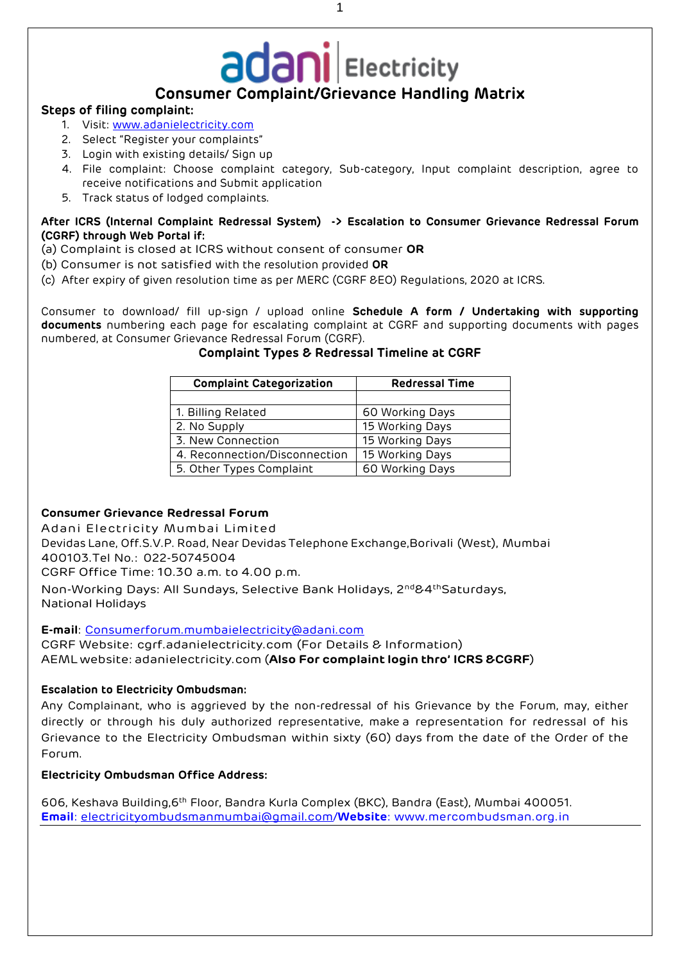# **Consumer Complaint/Grievance Handling Matrix**

#### **Steps of filing complaint:**

- 1. Visit: [www.adanielectricity.com](http://www.adanielectricity.com/)
- 2. Select "Register your complaints"
- 3. Login with existing details/ Sign up
- 4. File complaint: Choose complaint category, Sub-category, Input complaint description, agree to receive notifications and Submit application
- 5. Track status of lodged complaints.

#### **After ICRS (Internal Complaint Redressal System) -> Escalation to Consumer Grievance Redressal Forum (CGRF) through Web Portal if:**

- (a) Complaint is closed at ICRS without consent of consumer **OR**
- (b) Consumer is not satisfied with the resolution provided **OR**
- (c) After expiry of given resolution time as per MERC (CGRF &EO) Regulations, 2020 at ICRS.

Consumer to download/ fill up-sign / upload online **Schedule A form / Undertaking with supporting documents** numbering each page for escalating complaint at CGRF and supporting documents with pages numbered, at Consumer Grievance Redressal Forum (CGRF).

| <b>Complaint Categorization</b> | <b>Redressal Time</b> |
|---------------------------------|-----------------------|
|                                 |                       |
| 1. Billing Related              | 60 Working Days       |
| 2. No Supply                    | 15 Working Days       |
| 3. New Connection               | 15 Working Days       |
| 4. Reconnection/Disconnection   | 15 Working Days       |
| 5. Other Types Complaint        | 60 Working Days       |

#### **Complaint Types & Redressal Timeline at CGRF**

#### **Consumer Grievance Redressal Forum**

Adani Electricity Mumbai Limited

Devidas Lane, Off.S.V.P. Road, Near Devidas Telephone Exchange,Borivali (West), Mumbai 400103.Tel No.: 022-50745004

CGRF Office Time: 10.30 a.m. to 4.00 p.m.

Non-Working Days: All Sundays, Selective Bank Holidays, 2nd&4thSaturdays, National Holidays

**E-mail**: [Consumerforum.mumbaielectricity@adani.com](mailto:Consumerforum.mumbaielectricity@adani.com)

CGRF Website: cgrf.adanielectricity.com (For Details & Information) AEML website: adanielectricity.com (**Also For complaint login thro' ICRS &CGRF**)

## **Escalation to Electricity Ombudsman:**

Any Complainant, who is aggrieved by the non-redressal of his Grievance by the Forum, may, either directly or through his duly authorized representative, make a representation for redressal of his Grievance to the Electricity Ombudsman within sixty (60) days from the date of the Order of the Forum.

## **Electricity Ombudsman Office Address:**

606, Keshava Building,6th Floor, Bandra Kurla Complex (BKC), Bandra (East), Mumbai 400051. **Email**: [electricityombudsmanmumbai@gmail.com/](mailto:electricityombudsmanmumbai@gmail.com)**Website**: www.mercombudsman.org.in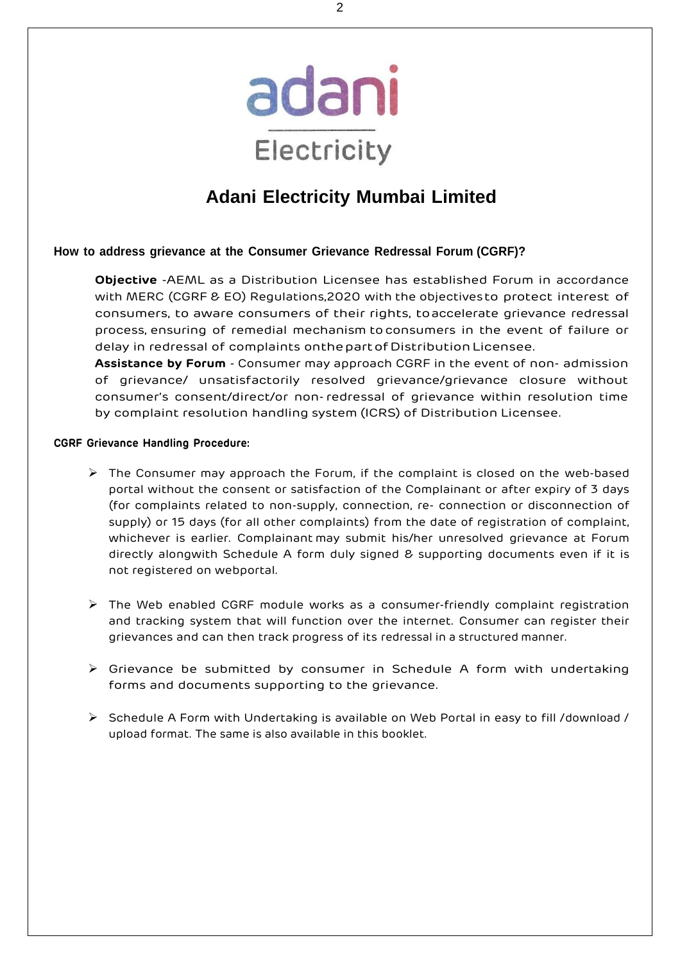

# **Adani Electricity Mumbai Limited**

# **How to address grievance at the Consumer Grievance Redressal Forum (CGRF)?**

**Objective** -AEML as a Distribution Licensee has established Forum in accordance with MERC (CGRF & EO) Regulations,2020 with the objectivesto protect interest of consumers, to aware consumers of their rights, toaccelerate grievance redressal process, ensuring of remedial mechanism toconsumers in the event of failure or delay in redressal of complaints onthe part of Distribution Licensee.

**Assistance by Forum** - Consumer may approach CGRF in the event of non- admission of grievance/ unsatisfactorily resolved grievance/grievance closure without consumer's consent/direct/or non-redressal of grievance within resolution time by complaint resolution handling system (ICRS) of Distribution Licensee.

# **CGRF Grievance Handling Procedure:**

- ➢ The Consumer may approach the Forum, if the complaint is closed on the web-based portal without the consent or satisfaction of the Complainant or after expiry of 3 days (for complaints related to non-supply, connection, re- connection or disconnection of supply) or 15 days (for all other complaints) from the date of registration of complaint, whichever is earlier. Complainant may submit his/her unresolved grievance at Forum directly alongwith Schedule A form duly signed & supporting documents even if it is not registered on webportal.
- ➢ The Web enabled CGRF module works as a consumer-friendly complaint registration and tracking system that will function over the internet. Consumer can register their grievances and can then track progress of its redressal in a structured manner.
- ➢ Grievance be submitted by consumer in Schedule A form with undertaking forms and documents supporting to the grievance.
- ➢ Schedule A Form with Undertaking is available on Web Portal in easy to fill /download / upload format. The same is also available in this booklet.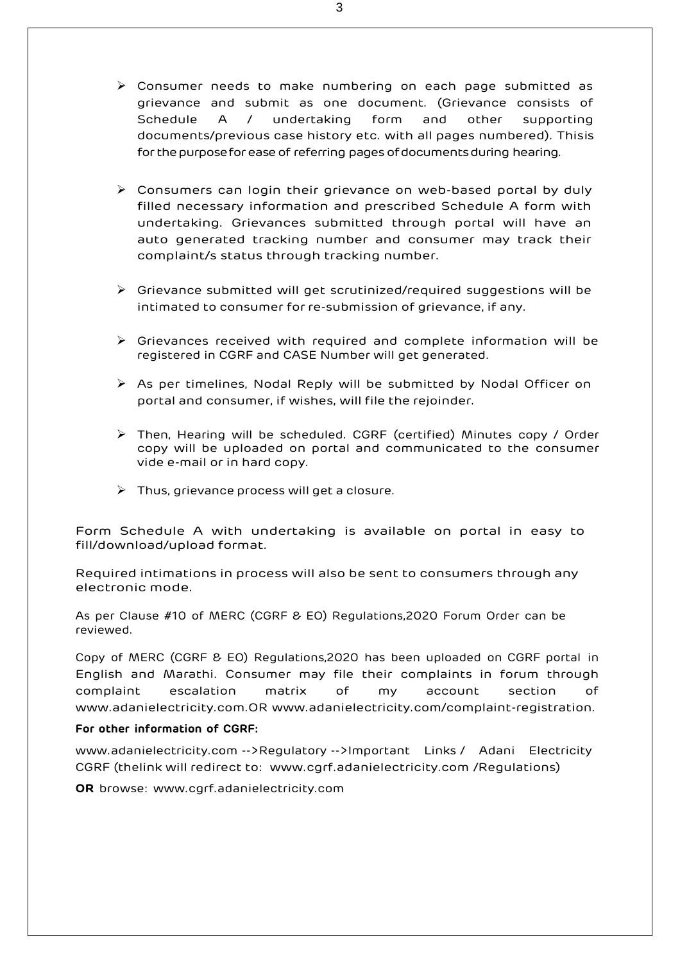- ➢ Consumer needs to make numbering on each page submitted as grievance and submit as one document. (Grievance consists of Schedule A / undertaking form and other supporting documents/previous case history etc. with all pages numbered). Thisis for the purpose for ease of referring pages of documents during hearing.
- ➢ Consumers can login their grievance on web-based portal by duly filled necessary information and prescribed Schedule A form with undertaking. Grievances submitted through portal will have an auto generated tracking number and consumer may track their complaint/s status through tracking number.
- ➢ Grievance submitted will get scrutinized/required suggestions will be intimated to consumer for re-submission of grievance, if any.
- ➢ Grievances received with required and complete information will be registered in CGRF and CASE Number will get generated.
- ➢ As per timelines, Nodal Reply will be submitted by Nodal Officer on portal and consumer, if wishes, will file the rejoinder.
- ➢ Then, Hearing will be scheduled. CGRF (certified) Minutes copy / Order copy will be uploaded on portal and communicated to the consumer vide e-mail or in hard copy.
- $\triangleright$  Thus, grievance process will get a closure.

Form Schedule A with undertaking is available on portal in easy to fill/download/upload format.

Required intimations in process will also be sent to consumers through any electronic mode.

As per Clause #10 of MERC (CGRF & EO) Regulations,2020 Forum Order can be reviewed.

Copy of MERC (CGRF & EO) Regulations,2020 has been uploaded on CGRF portal in English and Marathi. Consumer may file their complaints in forum through complaint escalation matrix of my account section of www.adanielectricity.com.OR www.adanielectricity.com/complaint-registration.

#### **For other information of CGRF:**

www.adanielectricity.com -->Regulatory -->Important Links / Adani Electricity CGRF (thelink will redirect to: www.cgrf.adanielectricity.com /Regulations)

**OR** browse: [www.cgrf.adanielectricity.com](http://www.cgrf.adanielectricity.com/)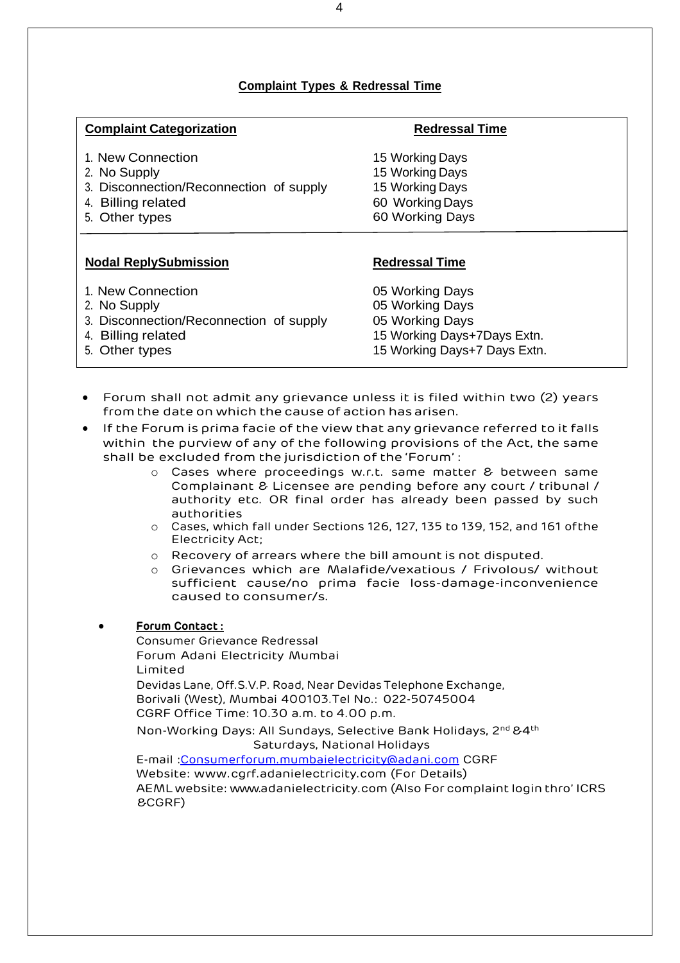# **Complaint Types & Redressal Time**

| <b>Complaint Categorization</b>         | <b>Redressal Time</b>        |
|-----------------------------------------|------------------------------|
| 1. New Connection                       | 15 Working Days              |
| 2. No Supply                            | 15 Working Days              |
| 3. Disconnection/Reconnection of supply | 15 Working Days              |
| 4. Billing related                      | 60 Working Days              |
| 5. Other types                          | 60 Working Days              |
| <b>Nodal ReplySubmission</b>            | <b>Redressal Time</b>        |
| 1. New Connection                       | 05 Working Days              |
| 2. No Supply                            | 05 Working Days              |
| 3. Disconnection/Reconnection of supply | 05 Working Days              |
| 4. Billing related                      | 15 Working Days+7Days Extn.  |
| 5. Other types                          | 15 Working Days+7 Days Extn. |

- Forum shall not admit any grievance unless it is filed within two (2) years from the date on which the cause of action has arisen.
- If the Forum is prima facie of the view that any grievance referred to it falls within the purview of any of the following provisions of the Act, the same shall be excluded from the jurisdiction of the 'Forum' :
	- o Cases where proceedings w.r.t. same matter & between same Complainant & Licensee are pending before any court / tribunal / authority etc. OR final order has already been passed by such authorities
	- o Cases, which fall under Sections 126, 127, 135 to 139, 152, and 161 ofthe Electricity Act;
	- o Recovery of arrears where the bill amount is not disputed.
	- o Grievances which are Malafide/vexatious / Frivolous/ without sufficient cause/no prima facie loss-damage-inconvenience caused to consumer/s.

## • **Forum Contact :**

&CGRF)

Consumer Grievance Redressal Forum Adani Electricity Mumbai Limited Devidas Lane, Off.S.V.P. Road, Near Devidas Telephone Exchange, Borivali (West), Mumbai 400103.Tel No.: 022-50745004 CGRF Office Time: 10.30 a.m. to 4.00 p.m. Non-Working Days: All Sundays, Selective Bank Holidays, 2nd &4th Saturdays, National Holidays E-mail [:Consumerforum.mumbaielectricity@adani.com](mailto:Consumerforum.mumbaielectricity@adani.com) CGRF Website: www.cgrf.adanielectricity.com (For Details) AEML website: www.adanielectricity.com (Also For complaint login thro' ICRS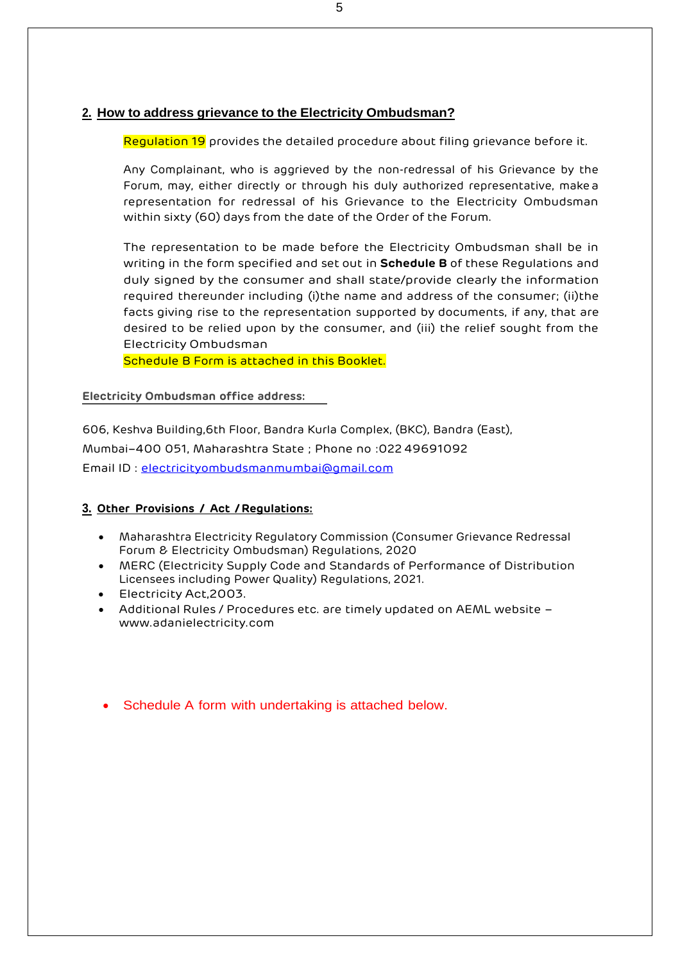# **2. How to address grievance to the Electricity Ombudsman?**

Regulation 19 provides the detailed procedure about filing grievance before it.

Any Complainant, who is aggrieved by the non-redressal of his Grievance by the Forum, may, either directly or through his duly authorized representative, make a representation for redressal of his Grievance to the Electricity Ombudsman within sixty (60) days from the date of the Order of the Forum.

The representation to be made before the Electricity Ombudsman shall be in writing in the form specified and set out in **Schedule B** of these Regulations and duly signed by the consumer and shall state/provide clearly the information required thereunder including (i)the name and address of the consumer; (ii)the facts giving rise to the representation supported by documents, if any, that are desired to be relied upon by the consumer, and (iii) the relief sought from the Electricity Ombudsman

Schedule B Form is attached in this Booklet.

#### **Electricity Ombudsman office address:**

606, Keshva Building,6th Floor, Bandra Kurla Complex, (BKC), Bandra (East), Mumbai–400 051, Maharashtra State ; Phone no :02249691092 Email ID : [electricityombudsmanmumbai@gmail.com](mailto:electricityombudsmanmumbai@gmail.com)

## **3. Other Provisions / Act /Regulations:**

- Maharashtra Electricity Regulatory Commission (Consumer Grievance Redressal Forum & Electricity Ombudsman) Regulations, 2020
- MERC (Electricity Supply Code and Standards of Performance of Distribution Licensees including Power Quality) Regulations, 2021.
- Electricity Act,2003.
- Additional Rules / Procedures etc. are timely updated on AEML website [www.adanielectricity.com](http://www.adanielectricity.com/)
- Schedule A form with undertaking is attached below.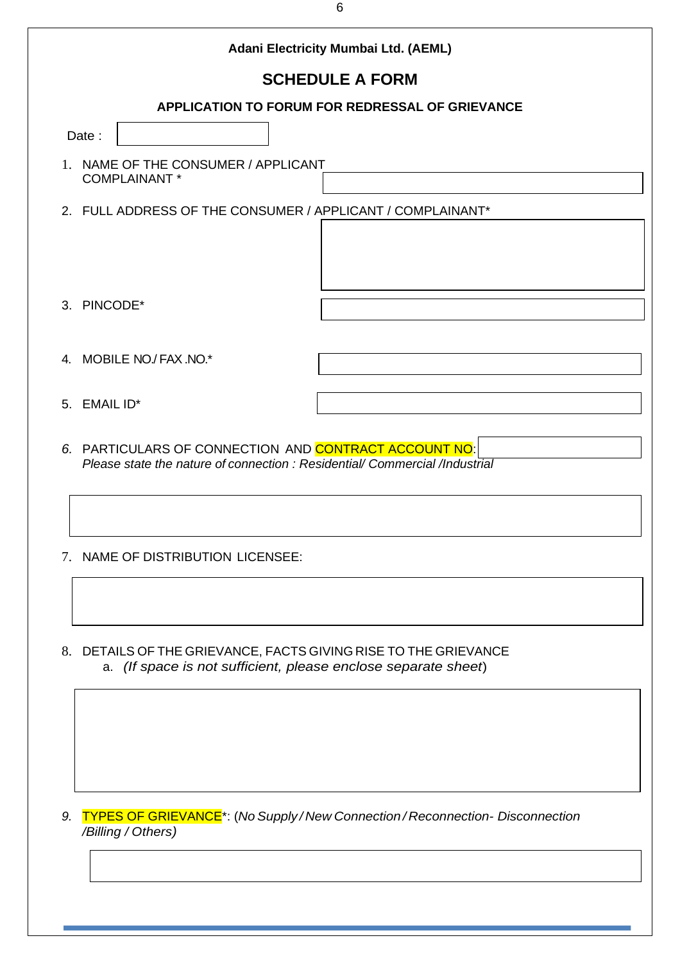|                                                 |                                                             | Adani Electricity Mumbai Ltd. (AEML)                                                                                                 |  |  |
|-------------------------------------------------|-------------------------------------------------------------|--------------------------------------------------------------------------------------------------------------------------------------|--|--|
|                                                 |                                                             | <b>SCHEDULE A FORM</b>                                                                                                               |  |  |
| APPLICATION TO FORUM FOR REDRESSAL OF GRIEVANCE |                                                             |                                                                                                                                      |  |  |
|                                                 | Date:                                                       |                                                                                                                                      |  |  |
|                                                 | 1. NAME OF THE CONSUMER / APPLICANT<br><b>COMPLAINANT *</b> |                                                                                                                                      |  |  |
|                                                 |                                                             | 2. FULL ADDRESS OF THE CONSUMER / APPLICANT / COMPLAINANT*                                                                           |  |  |
|                                                 | 3. PINCODE*                                                 |                                                                                                                                      |  |  |
|                                                 | 4. MOBILE NO./ FAX .NO.*                                    |                                                                                                                                      |  |  |
|                                                 | 5. EMAIL ID*                                                |                                                                                                                                      |  |  |
|                                                 |                                                             | 6. PARTICULARS OF CONNECTION AND CONTRACT ACCOUNT NO:<br>Please state the nature of connection : Residential/ Commercial /Industrial |  |  |
|                                                 |                                                             |                                                                                                                                      |  |  |

8. DETAILS OF THE GRIEVANCE, FACTS GIVING RISE TO THE GRIEVANCE a. *(If space is not sufficient, please enclose separate sheet*)

*9.* TYPES OF GRIEVANCE\*: (*No Supply / New Connection / Reconnection- Disconnection /Billing / Others)*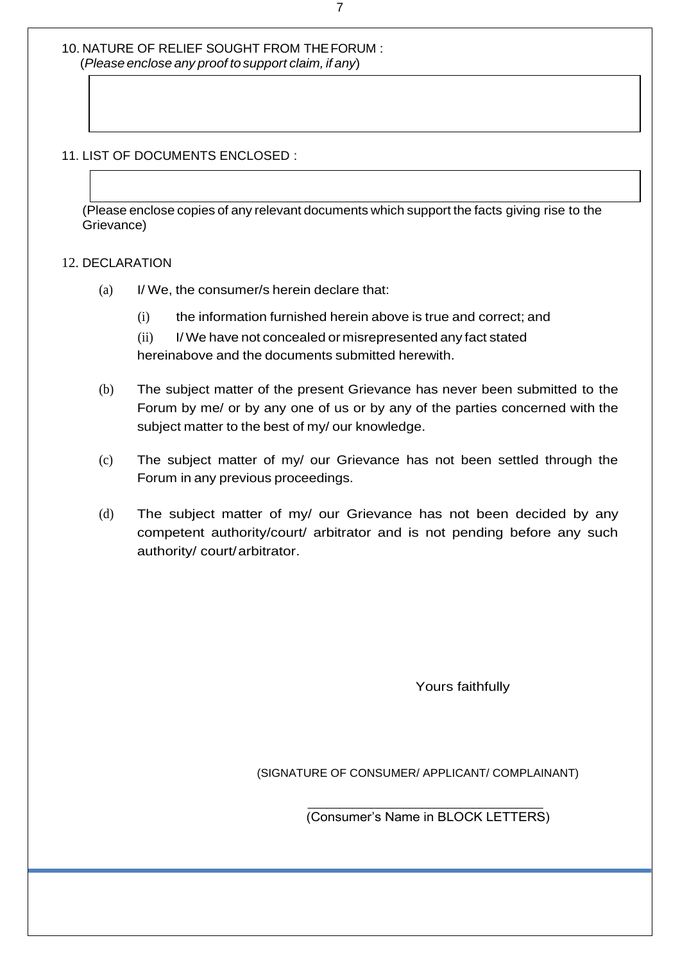10. NATURE OF RELIEF SOUGHT FROM THEFORUM : (*Please enclose any proof tosupport claim, if any*)

11. LIST OF DOCUMENTS ENCLOSED :

(Please enclose copies of any relevant documents which support the facts giving rise to the Grievance)

#### 12. DECLARATION

- (a) I/ We, the consumer/s herein declare that:
	- (i) the information furnished herein above is true and correct; and
	- (ii) I/ We have not concealed or misrepresented any fact stated hereinabove and the documents submitted herewith.
- (b) The subject matter of the present Grievance has never been submitted to the Forum by me/ or by any one of us or by any of the parties concerned with the subject matter to the best of my/ our knowledge.
- (c) The subject matter of my/ our Grievance has not been settled through the Forum in any previous proceedings.
- (d) The subject matter of my/ our Grievance has not been decided by any competent authority/court/ arbitrator and is not pending before any such authority/ court/arbitrator.

 $\overline{\phantom{a}}$  , and the state of the state of the state of the state of the state of the state of the state of the state of the state of the state of the state of the state of the state of the state of the state of the stat

Yours faithfully

(SIGNATURE OF CONSUMER/ APPLICANT/ COMPLAINANT)

(Consumer's Name in BLOCK LETTERS)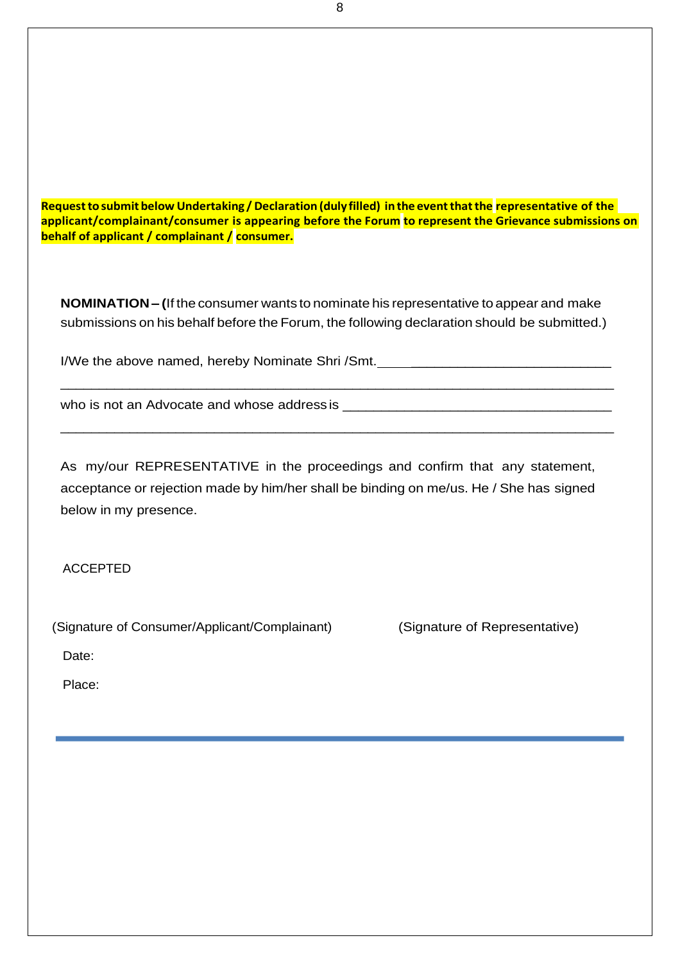**Requesttosubmit below Undertaking / Declaration (duly filled) inthe eventthatthe representative of the applicant/complainant/consumer is appearing before the Forum to represent the Grievance submissions on behalf of applicant / complainant / consumer.**

**NOMINATION – (**If the consumer wants to nominate his representative to appear and make submissions on his behalf before the Forum, the following declaration should be submitted.)

I/We the above named, hereby Nominate Shri /Smt. \_\_\_\_\_\_\_\_\_\_\_\_\_\_\_\_\_\_\_\_\_\_\_\_\_\_\_\_\_\_\_

\_\_\_\_\_\_\_\_\_\_\_\_\_\_\_\_\_\_\_\_\_\_\_\_\_\_\_\_\_\_\_\_\_\_\_\_\_\_\_\_\_\_\_\_\_\_\_\_\_\_\_\_\_\_\_\_\_\_\_\_\_\_\_\_\_\_\_\_\_\_\_\_

\_\_\_\_\_\_\_\_\_\_\_\_\_\_\_\_\_\_\_\_\_\_\_\_\_\_\_\_\_\_\_\_\_\_\_\_\_\_\_\_\_\_\_\_\_\_\_\_\_\_\_\_\_\_\_\_\_\_\_\_\_\_\_\_\_\_\_\_\_\_\_\_

who is not an Advocate and whose address is \_\_\_\_\_\_\_\_\_\_\_\_\_\_\_\_\_\_\_\_\_\_\_\_\_\_\_\_\_\_\_\_\_\_\_

As my/our REPRESENTATIVE in the proceedings and confirm that any statement, acceptance or rejection made by him/her shall be binding on me/us. He / She has signed below in my presence.

ACCEPTED

(Signature of Consumer/Applicant/Complainant) (Signature of Representative)

Date:

Place: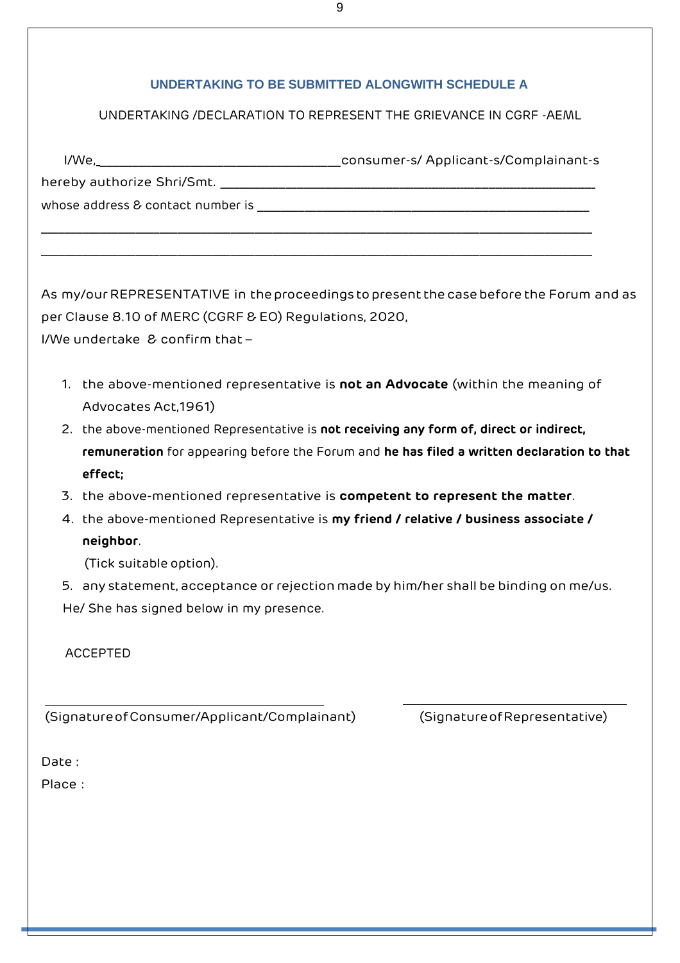# **UNDERTAKING TO BE SUBMITTED ALONGWITH SCHEDULE A**

# UNDERTAKING /DECLARATION TO REPRESENT THE GRIEVANCE IN CGRF -AEML

| I/We,___________________          | consumer-s/ Applicant-s/Complainant-s |
|-----------------------------------|---------------------------------------|
| hereby authorize Shri/Smt.        |                                       |
| whose address & contact number is |                                       |
|                                   |                                       |
|                                   |                                       |

As my/our REPRESENTATIVE in the proceedings to present the case before the Forum and as per Clause 8.10 of MERC (CGRF & EO) Regulations, 2020,

I/We undertake & confirm that –

- 1. the above-mentioned representative is **not an Advocate** (within the meaning of Advocates Act,1961)
- 2. the above-mentioned Representative is **not receiving any form of, direct or indirect, remuneration** for appearing before the Forum and **he has filed a written declaration to that effect;**
- 3. the above-mentioned representative is **competent to represent the matter**.
- 4. the above-mentioned Representative is **my friend / relative / business associate / neighbor**.
	- (Tick suitable option).
- 5. any statement, acceptance or rejection made by him/her shall be binding on me/us. He/ She has signed below in my presence.

ACCEPTED

(SignatureofConsumer/Applicant/Complainant) (SignatureofRepresentative)

Date :

Place :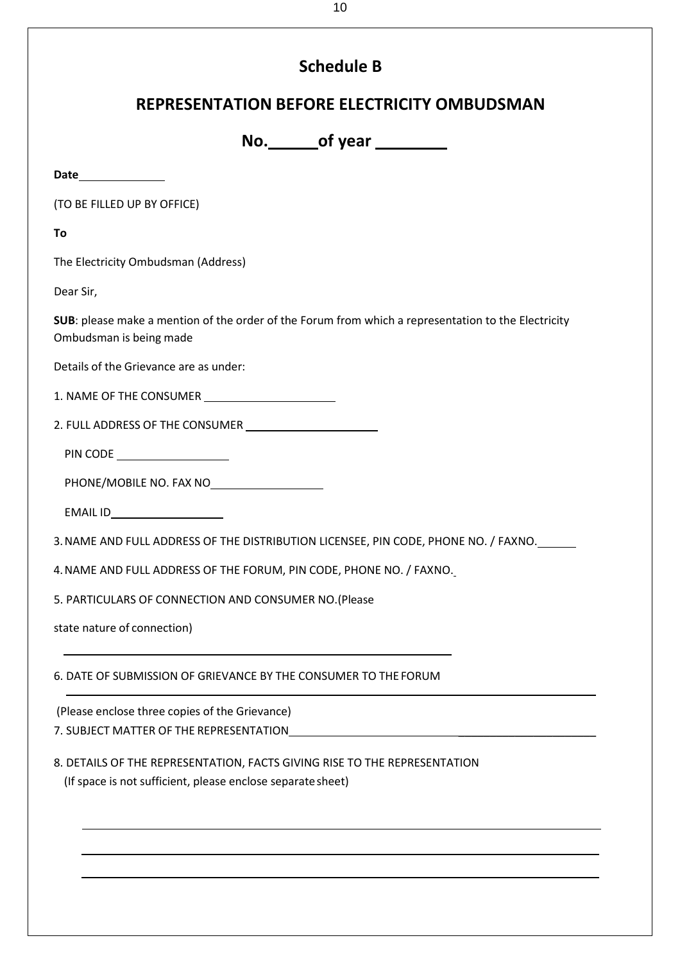# **Schedule B**

# **REPRESENTATION BEFORE ELECTRICITY OMBUDSMAN**

**No. of year** 

**Date**

(TO BE FILLED UP BY OFFICE)

**To**

The Electricity Ombudsman (Address)

Dear Sir,

**SUB**: please make a mention of the order of the Forum from which a representation to the Electricity Ombudsman is being made

Details of the Grievance are as under:

1. NAME OF THE CONSUMER

2. FULL ADDRESS OF THE CONSUMER

PIN CODE

PHONE/MOBILE NO. FAX NO

EMAIL ID

3.NAME AND FULL ADDRESS OF THE DISTRIBUTION LICENSEE, PIN CODE, PHONE NO. / FAXNO.

4.NAME AND FULL ADDRESS OF THE FORUM, PIN CODE, PHONE NO. / FAXNO.

5. PARTICULARS OF CONNECTION AND CONSUMER NO.(Please

state nature of connection)

6. DATE OF SUBMISSION OF GRIEVANCE BY THE CONSUMER TO THE FORUM

(Please enclose three copies of the Grievance)

7. SUBJECT MATTER OF THE REPRESENTATION

8. DETAILS OF THE REPRESENTATION, FACTS GIVING RISE TO THE REPRESENTATION (If space is not sufficient, please enclose separatesheet)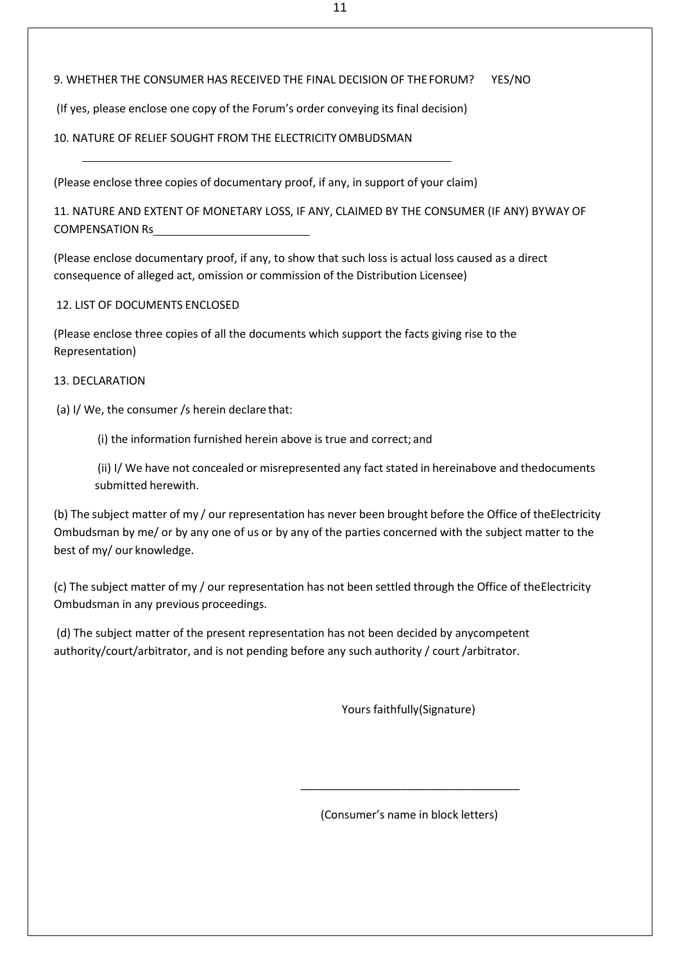#### 9. WHETHER THE CONSUMER HAS RECEIVED THE FINAL DECISION OF THEFORUM? YES/NO

(If yes, please enclose one copy of the Forum's order conveying its final decision)

## 10. NATURE OF RELIEF SOUGHT FROM THE ELECTRICITYOMBUDSMAN

(Please enclose three copies of documentary proof, if any, in support of your claim)

11. NATURE AND EXTENT OF MONETARY LOSS, IF ANY, CLAIMED BY THE CONSUMER (IF ANY) BYWAY OF COMPENSATION Rs

(Please enclose documentary proof, if any, to show that such loss is actual loss caused as a direct consequence of alleged act, omission or commission of the Distribution Licensee)

#### 12. LIST OF DOCUMENTS ENCLOSED

(Please enclose three copies of all the documents which support the facts giving rise to the Representation)

#### 13. DECLARATION

(a) I/ We, the consumer /s herein declare that:

(i) the information furnished herein above is true and correct; and

(ii) I/ We have not concealed or misrepresented any fact stated in hereinabove and thedocuments submitted herewith.

(b) The subject matter of my / our representation has never been brought before the Office of theElectricity Ombudsman by me/ or by any one of us or by any of the parties concerned with the subject matter to the best of my/ our knowledge.

(c) The subject matter of my / our representation has not been settled through the Office of theElectricity Ombudsman in any previous proceedings.

(d) The subject matter of the present representation has not been decided by anycompetent authority/court/arbitrator, and is not pending before any such authority / court /arbitrator.

Yours faithfully(Signature)

(Consumer's name in block letters)

\_\_\_\_\_\_\_\_\_\_\_\_\_\_\_\_\_\_\_\_\_\_\_\_\_\_\_\_\_\_\_\_\_\_\_